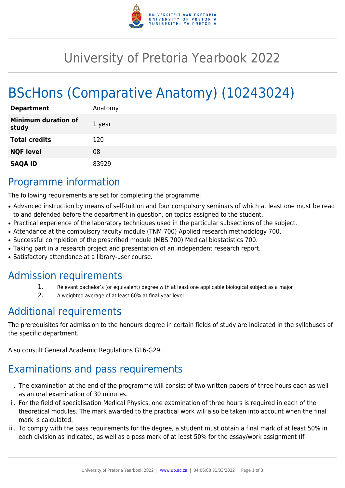

# University of Pretoria Yearbook 2022

# BScHons (Comparative Anatomy) (10243024)

| <b>Department</b>                   | Anatomy |
|-------------------------------------|---------|
| <b>Minimum duration of</b><br>study | 1 year  |
| <b>Total credits</b>                | 120     |
| <b>NQF level</b>                    | 08      |
| <b>SAQA ID</b>                      | 83929   |

## Programme information

The following requirements are set for completing the programme:

- Advanced instruction by means of self-tuition and four compulsory seminars of which at least one must be read to and defended before the department in question, on topics assigned to the student.
- Practical experience of the laboratory techniques used in the particular subsections of the subject.
- Attendance at the compulsory faculty module (TNM 700) Applied research methodology 700.
- Successful completion of the prescribed module (MBS 700) Medical biostatistics 700.
- Taking part in a research project and presentation of an independent research report.
- Satisfactory attendance at a library-user course.

### Admission requirements

- 1. Relevant bachelor's (or equivalent) degree with at least one applicable biological subject as a major
- 2. A weighted average of at least 60% at final-year level

# Additional requirements

The prerequisites for admission to the honours degree in certain fields of study are indicated in the syllabuses of the specific department.

Also consult General Academic Regulations G16-G29.

# Examinations and pass requirements

- i. The examination at the end of the programme will consist of two written papers of three hours each as well as an oral examination of 30 minutes.
- ii. For the field of specialisation Medical Physics, one examination of three hours is required in each of the theoretical modules. The mark awarded to the practical work will also be taken into account when the final mark is calculated.
- iii. To comply with the pass requirements for the degree, a student must obtain a final mark of at least 50% in each division as indicated, as well as a pass mark of at least 50% for the essay/work assignment (if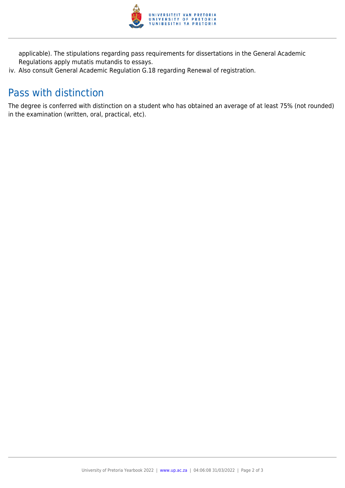

applicable). The stipulations regarding pass requirements for dissertations in the General Academic Regulations apply mutatis mutandis to essays.

iv. Also consult General Academic Regulation G.18 regarding Renewal of registration.

## Pass with distinction

The degree is conferred with distinction on a student who has obtained an average of at least 75% (not rounded) in the examination (written, oral, practical, etc).